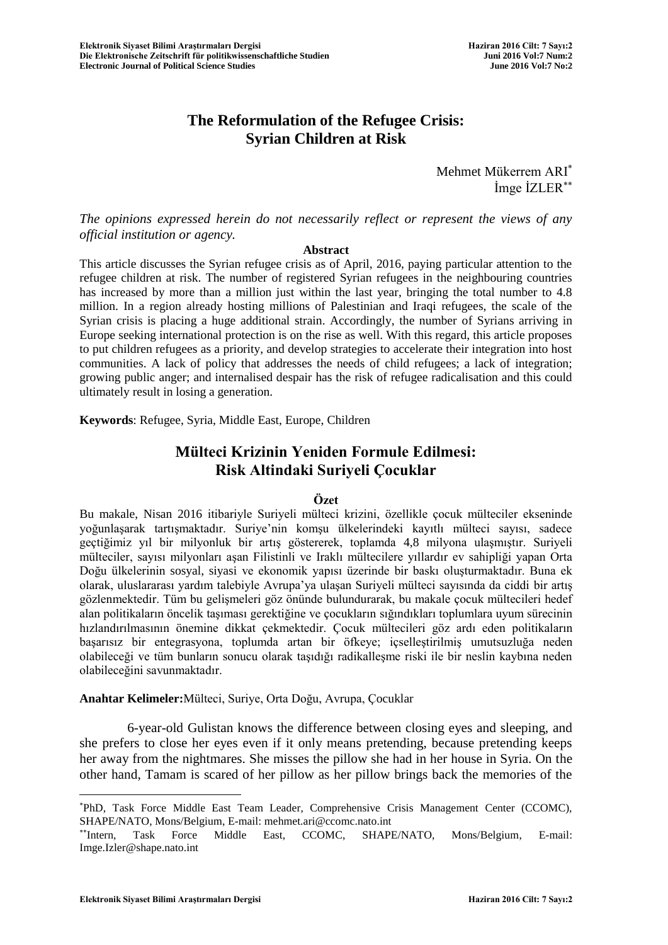# **The Reformulation of the Refugee Crisis: Syrian Children at Risk**

Mehmet Mükerrem ARI İmge İZLER

*The opinions expressed herein do not necessarily reflect or represent the views of any official institution or agency.*

#### **Abstract**

This article discusses the Syrian refugee crisis as of April, 2016, paying particular attention to the refugee children at risk. The number of registered Syrian refugees in the neighbouring countries has increased by more than a million just within the last year, bringing the total number to 4.8 million. In a region already hosting millions of Palestinian and Iraqi refugees, the scale of the Syrian crisis is placing a huge additional strain. Accordingly, the number of Syrians arriving in Europe seeking international protection is on the rise as well. With this regard, this article proposes to put children refugees as a priority, and develop strategies to accelerate their integration into host communities. A lack of policy that addresses the needs of child refugees; a lack of integration; growing public anger; and internalised despair has the risk of refugee radicalisation and this could ultimately result in losing a generation.

**Keywords**: Refugee, Syria, Middle East, Europe, Children

# **Mülteci Krizinin Yeniden Formule Edilmesi: Risk Altindaki Suriyeli Çocuklar**

#### **Özet**

Bu makale, Nisan 2016 itibariyle Suriyeli mülteci krizini, özellikle çocuk mülteciler ekseninde yoğunlaşarak tartışmaktadır. Suriye"nin komşu ülkelerindeki kayıtlı mülteci sayısı, sadece geçtiğimiz yıl bir milyonluk bir artış göstererek, toplamda 4,8 milyona ulaşmıştır. Suriyeli mülteciler, sayısı milyonları aşan Filistinli ve Iraklı mültecilere yıllardır ev sahipliği yapan Orta Doğu ülkelerinin sosyal, siyasi ve ekonomik yapısı üzerinde bir baskı oluşturmaktadır. Buna ek olarak, uluslararası yardım talebiyle Avrupa"ya ulaşan Suriyeli mülteci sayısında da ciddi bir artış gözlenmektedir. Tüm bu gelişmeleri göz önünde bulundurarak, bu makale çocuk mültecileri hedef alan politikaların öncelik taşıması gerektiğine ve çocukların sığındıkları toplumlara uyum sürecinin hızlandırılmasının önemine dikkat çekmektedir. Çocuk mültecileri göz ardı eden politikaların başarısız bir entegrasyona, toplumda artan bir öfkeye; içselleştirilmiş umutsuzluğa neden olabileceği ve tüm bunların sonucu olarak taşıdığı radikalleşme riski ile bir neslin kaybına neden olabileceğini savunmaktadır.

**Anahtar Kelimeler:**Mülteci, Suriye, Orta Doğu, Avrupa, Çocuklar

6-year-old Gulistan knows the difference between closing eyes and sleeping, and she prefers to close her eyes even if it only means pretending, because pretending keeps her away from the nightmares. She misses the pillow she had in her house in Syria. On the other hand, Tamam is scared of her pillow as her pillow brings back the memories of the

PhD, Task Force Middle East Team Leader, Comprehensive Crisis Management Center (CCOMC), SHAPE/NATO, Mons/Belgium, E-mail: mehmet.ari@ccomc.nato.int

<sup>\*\*</sup>Intern, Task Force Middle East, CCOMC, SHAPE/NATO, Mons/Belgium, E-mail: Imge.Izler@shape.nato.int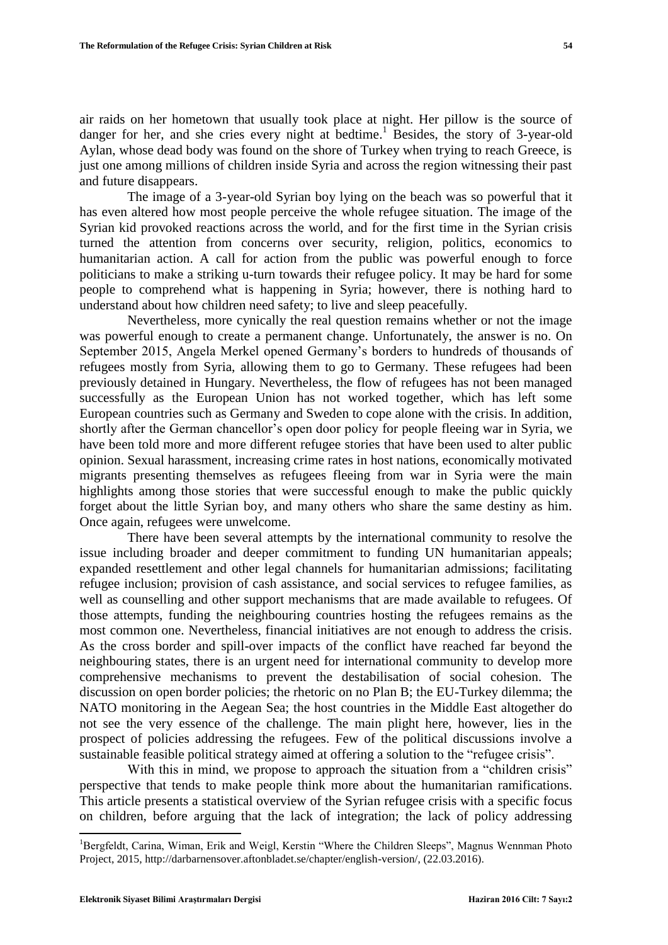air raids on her hometown that usually took place at night. Her pillow is the source of danger for her, and she cries every night at bedtime.<sup>1</sup> Besides, the story of 3-year-old Aylan, whose dead body was found on the shore of Turkey when trying to reach Greece, is just one among millions of children inside Syria and across the region witnessing their past and future disappears.

The image of a 3-year-old Syrian boy lying on the beach was so powerful that it has even altered how most people perceive the whole refugee situation. The image of the Syrian kid provoked reactions across the world, and for the first time in the Syrian crisis turned the attention from concerns over security, religion, politics, economics to humanitarian action. A call for action from the public was powerful enough to force politicians to make a striking u-turn towards their refugee policy. It may be hard for some people to comprehend what is happening in Syria; however, there is nothing hard to understand about how children need safety; to live and sleep peacefully.

Nevertheless, more cynically the real question remains whether or not the image was powerful enough to create a permanent change. Unfortunately, the answer is no. On September 2015, Angela Merkel opened Germany"s borders to hundreds of thousands of refugees mostly from Syria, allowing them to go to Germany. These refugees had been previously detained in Hungary. Nevertheless, the flow of refugees has not been managed successfully as the European Union has not worked together, which has left some European countries such as Germany and Sweden to cope alone with the crisis. In addition, shortly after the German chancellor's open door policy for people fleeing war in Syria, we have been told more and more different refugee stories that have been used to alter public opinion. Sexual harassment, increasing crime rates in host nations, economically motivated migrants presenting themselves as refugees fleeing from war in Syria were the main highlights among those stories that were successful enough to make the public quickly forget about the little Syrian boy, and many others who share the same destiny as him. Once again, refugees were unwelcome.

There have been several attempts by the international community to resolve the issue including broader and deeper commitment to funding UN humanitarian appeals; expanded resettlement and other legal channels for humanitarian admissions; facilitating refugee inclusion; provision of cash assistance, and social services to refugee families, as well as counselling and other support mechanisms that are made available to refugees. Of those attempts, funding the neighbouring countries hosting the refugees remains as the most common one. Nevertheless, financial initiatives are not enough to address the crisis. As the cross border and spill-over impacts of the conflict have reached far beyond the neighbouring states, there is an urgent need for international community to develop more comprehensive mechanisms to prevent the destabilisation of social cohesion. The discussion on open border policies; the rhetoric on no Plan B; the EU-Turkey dilemma; the NATO monitoring in the Aegean Sea; the host countries in the Middle East altogether do not see the very essence of the challenge. The main plight here, however, lies in the prospect of policies addressing the refugees. Few of the political discussions involve a sustainable feasible political strategy aimed at offering a solution to the "refugee crisis".

With this in mind, we propose to approach the situation from a "children crisis" perspective that tends to make people think more about the humanitarian ramifications. This article presents a statistical overview of the Syrian refugee crisis with a specific focus on children, before arguing that the lack of integration; the lack of policy addressing

<sup>&</sup>lt;sup>1</sup>Bergfeldt, Carina, Wiman, Erik and Weigl, Kerstin "Where the Children Sleeps", Magnus Wennman Photo Project, 2015, http://darbarnensover.aftonbladet.se/chapter/english-version/, (22.03.2016).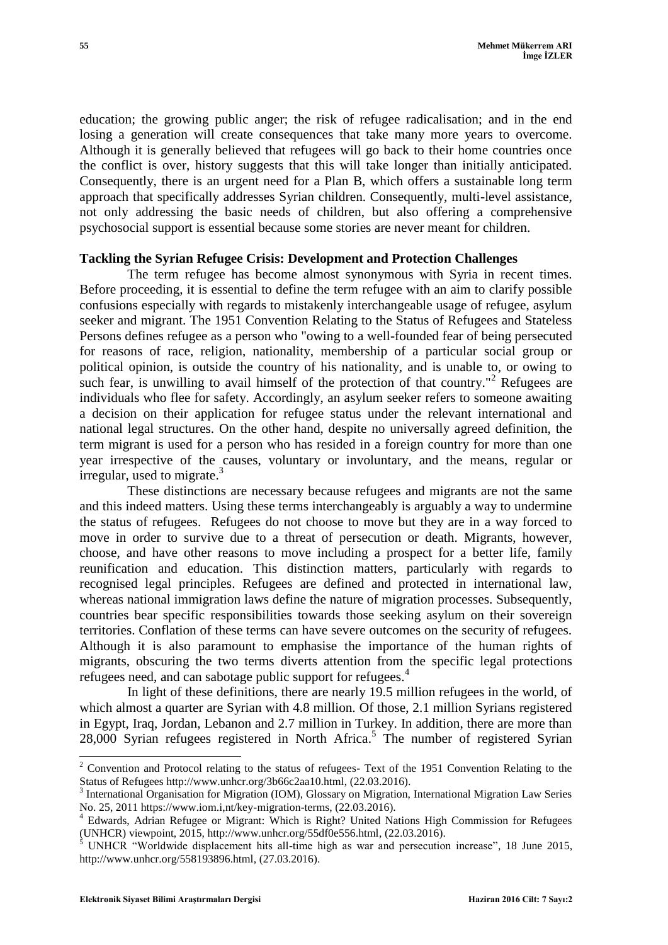education; the growing public anger; the risk of refugee radicalisation; and in the end losing a generation will create consequences that take many more years to overcome. Although it is generally believed that refugees will go back to their home countries once the conflict is over, history suggests that this will take longer than initially anticipated. Consequently, there is an urgent need for a Plan B, which offers a sustainable long term approach that specifically addresses Syrian children. Consequently, multi-level assistance, not only addressing the basic needs of children, but also offering a comprehensive psychosocial support is essential because some stories are never meant for children.

#### **Tackling the Syrian Refugee Crisis: Development and Protection Challenges**

The term refugee has become almost synonymous with Syria in recent times. Before proceeding, it is essential to define the term refugee with an aim to clarify possible confusions especially with regards to mistakenly interchangeable usage of refugee, asylum seeker and migrant. The 1951 Convention Relating to the Status of Refugees and Stateless Persons defines refugee as a person who "owing to a well-founded fear of being persecuted for reasons of race, religion, nationality, membership of a particular social group or political opinion, is outside the country of his nationality, and is unable to, or owing to such fear, is unwilling to avail himself of the protection of that country."<sup>2</sup> Refugees are individuals who flee for safety. Accordingly, an asylum seeker refers to someone awaiting a decision on their application for refugee status under the relevant international and national legal structures. On the other hand, despite no universally agreed definition, the term migrant is used for a person who has resided in a foreign country for more than one year irrespective of the causes, voluntary or involuntary, and the means, regular or irregular, used to migrate.<sup>3</sup>

These distinctions are necessary because refugees and migrants are not the same and this indeed matters. Using these terms interchangeably is arguably a way to undermine the status of refugees. Refugees do not choose to move but they are in a way forced to move in order to survive due to a threat of persecution or death. Migrants, however, choose, and have other reasons to move including a prospect for a better life, family reunification and education. This distinction matters, particularly with regards to recognised legal principles. Refugees are defined and protected in international law, whereas national immigration laws define the nature of migration processes. Subsequently, countries bear specific responsibilities towards those seeking asylum on their sovereign territories. Conflation of these terms can have severe outcomes on the security of refugees. Although it is also paramount to emphasise the importance of the human rights of migrants, obscuring the two terms diverts attention from the specific legal protections refugees need, and can sabotage public support for refugees. 4

In light of these definitions, there are nearly 19.5 million refugees in the world, of which almost a quarter are Syrian with 4.8 million. Of those, 2.1 million Syrians registered in Egypt, Iraq, Jordan, Lebanon and 2.7 million in Turkey. In addition, there are more than 28,000 Syrian refugees registered in North Africa.<sup>5</sup> The number of registered Syrian

<sup>&</sup>lt;sup>2</sup> Convention and Protocol relating to the status of refugees- Text of the 1951 Convention Relating to the Status of Refugees http://www.unhcr.org/3b66c2aa10.html, (22.03.2016).

<sup>3</sup> International Organisation for Migration (IOM), Glossary on Migration, International Migration Law Series No. 25, 2011 https://www.iom.i,nt/key-migration-terms, (22.03.2016).

<sup>4</sup> Edwards, Adrian Refugee or Migrant: Which is Right? United Nations High Commission for Refugees (UNHCR) viewpoint, 2015, http://www.unhcr.org/55df0e556.html, (22.03.2016).

<sup>&</sup>lt;sup>5</sup> UNHCR "Worldwide displacement hits all-time high as war and persecution increase", 18 June 2015, http://www.unhcr.org/558193896.html, (27.03.2016).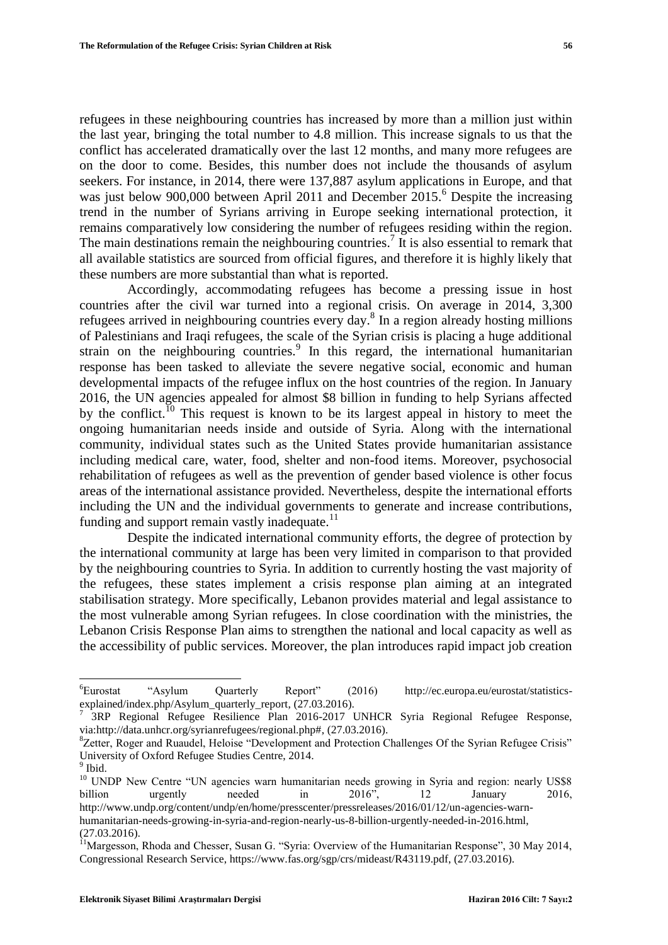refugees in these neighbouring countries has increased by more than a million just within the last year, bringing the total number to 4.8 million. This increase signals to us that the conflict has accelerated dramatically over the last 12 months, and many more refugees are on the door to come. Besides, this number does not include the thousands of asylum seekers. For instance, in 2014, there were 137,887 asylum applications in Europe, and that was just below 900,000 between April 2011 and December 2015.<sup>6</sup> Despite the increasing trend in the number of Syrians arriving in Europe seeking international protection, it remains comparatively low considering the number of refugees residing within the region. The main destinations remain the neighbouring countries.<sup>7</sup> It is also essential to remark that all available statistics are sourced from official figures, and therefore it is highly likely that these numbers are more substantial than what is reported.

Accordingly, accommodating refugees has become a pressing issue in host countries after the civil war turned into a regional crisis. On average in 2014, 3,300 refugees arrived in neighbouring countries every day.<sup>8</sup> In a region already hosting millions of Palestinians and Iraqi refugees, the scale of the Syrian crisis is placing a huge additional strain on the neighbouring countries.<sup>9</sup> In this regard, the international humanitarian response has been tasked to alleviate the severe negative social, economic and human developmental impacts of the refugee influx on the host countries of the region. In January 2016, the UN agencies appealed for almost \$8 billion in funding to help Syrians affected by the conflict.<sup>10</sup> This request is known to be its largest appeal in history to meet the ongoing humanitarian needs inside and outside of Syria. Along with the international community, individual states such as the United States provide humanitarian assistance including medical care, water, food, shelter and non-food items. Moreover, psychosocial rehabilitation of refugees as well as the prevention of gender based violence is other focus areas of the international assistance provided. Nevertheless, despite the international efforts including the UN and the individual governments to generate and increase contributions, funding and support remain vastly inadequate.<sup>11</sup>

Despite the indicated international community efforts, the degree of protection by the international community at large has been very limited in comparison to that provided by the neighbouring countries to Syria. In addition to currently hosting the vast majority of the refugees, these states implement a crisis response plan aiming at an integrated stabilisation strategy. More specifically, Lebanon provides material and legal assistance to the most vulnerable among Syrian refugees. In close coordination with the ministries, the Lebanon Crisis Response Plan aims to strengthen the national and local capacity as well as the accessibility of public services. Moreover, the plan introduces rapid impact job creation

<sup>6</sup>Eurostat "Asylum Quarterly Report" (2016) http://ec.europa.eu/eurostat/statisticsexplained/index.php/Asylum\_quarterly\_report, (27.03.2016).

<sup>7</sup> 3RP Regional Refugee Resilience Plan 2016-2017 UNHCR Syria Regional Refugee Response, via:http://data.unhcr.org/syrianrefugees/regional.php#, (27.03.2016).

<sup>&</sup>lt;sup>8</sup>Zetter, Roger and Ruaudel, Heloise "Development and Protection Challenges Of the Syrian Refugee Crisis" University of Oxford Refugee Studies Centre, 2014.

<sup>&</sup>lt;sup>9</sup> Ibid.

<sup>&</sup>lt;sup>10</sup> UNDP New Centre "UN agencies warn humanitarian needs growing in Syria and region: nearly US\$8 billion urgently needed in 2016", 12 January 2016, http://www.undp.org/content/undp/en/home/presscenter/pressreleases/2016/01/12/un-agencies-warnhumanitarian-needs-growing-in-syria-and-region-nearly-us-8-billion-urgently-needed-in-2016.html, (27.03.2016).

<sup>&</sup>lt;sup>11</sup>Margesson, Rhoda and Chesser, Susan G. "Syria: Overview of the Humanitarian Response", 30 May 2014, Congressional Research Service, https://www.fas.org/sgp/crs/mideast/R43119.pdf, (27.03.2016).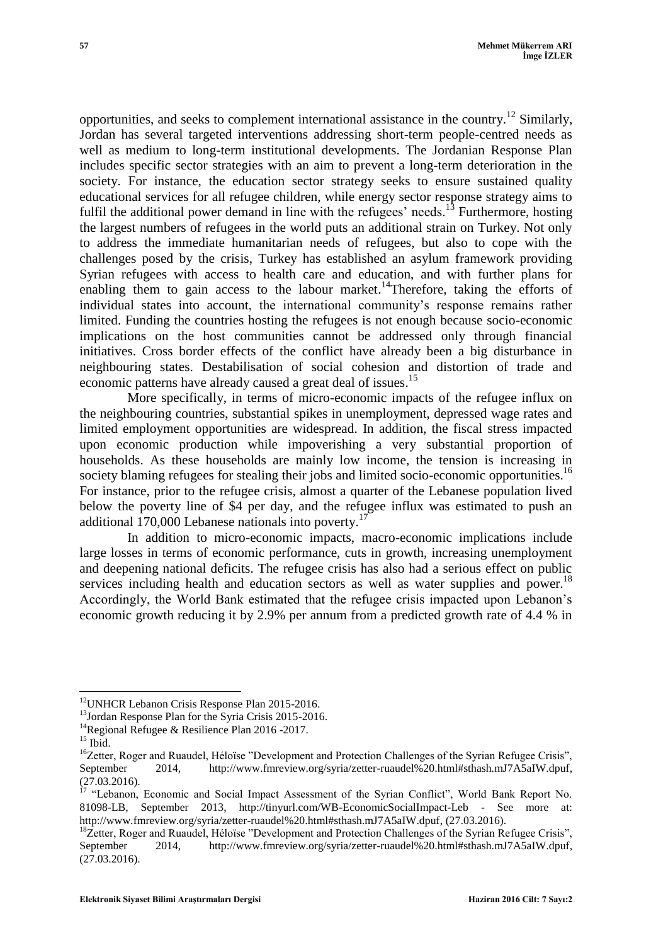opportunities, and seeks to complement international assistance in the country.<sup>12</sup> Similarly, Jordan has several targeted interventions addressing short-term people-centred needs as well as medium to long-term institutional developments. The Jordanian Response Plan includes specific sector strategies with an aim to prevent a long-term deterioration in the society. For instance, the education sector strategy seeks to ensure sustained quality educational services for all refugee children, while energy sector response strategy aims to fulfil the additional power demand in line with the refugees' needs.<sup>13</sup> Furthermore, hosting the largest numbers of refugees in the world puts an additional strain on Turkey. Not only to address the immediate humanitarian needs of refugees, but also to cope with the challenges posed by the crisis, Turkey has established an asylum framework providing Syrian refugees with access to health care and education, and with further plans for enabling them to gain access to the labour market.<sup>14</sup>Therefore, taking the efforts of individual states into account, the international community"s response remains rather limited. Funding the countries hosting the refugees is not enough because socio-economic implications on the host communities cannot be addressed only through financial initiatives. Cross border effects of the conflict have already been a big disturbance in neighbouring states. Destabilisation of social cohesion and distortion of trade and economic patterns have already caused a great deal of issues.<sup>15</sup>

More specifically, in terms of micro-economic impacts of the refugee influx on the neighbouring countries, substantial spikes in unemployment, depressed wage rates and limited employment opportunities are widespread. In addition, the fiscal stress impacted upon economic production while impoverishing a very substantial proportion of households. As these households are mainly low income, the tension is increasing in society blaming refugees for stealing their jobs and limited socio-economic opportunities.<sup>16</sup> For instance, prior to the refugee crisis, almost a quarter of the Lebanese population lived below the poverty line of \$4 per day, and the refugee influx was estimated to push an additional  $170,000$  Lebanese nationals into poverty.<sup>17</sup>

In addition to micro-economic impacts, macro-economic implications include large losses in terms of economic performance, cuts in growth, increasing unemployment and deepening national deficits. The refugee crisis has also had a serious effect on public services including health and education sectors as well as water supplies and power.<sup>18</sup> Accordingly, the World Bank estimated that the refugee crisis impacted upon Lebanon"s economic growth reducing it by 2.9% per annum from a predicted growth rate of 4.4 % in

 $\overline{a}$ 

<sup>&</sup>lt;sup>12</sup>UNHCR Lebanon Crisis Response Plan 2015-2016.

<sup>&</sup>lt;sup>13</sup>Jordan Response Plan for the Syria Crisis 2015-2016.

<sup>&</sup>lt;sup>14</sup>Regional Refugee & Resilience Plan 2016 -2017.

 $^{15}$  Ibid.

<sup>&</sup>lt;sup>16</sup>Zetter, Roger and Ruaudel, Héloïse "Development and Protection Challenges of the Syrian Refugee Crisis", September 2014, http://www.fmreview.org/syria/zetter-ruaudel%20.html#sthash.mJ7A5aIW.dpuf, (27.03.2016).

<sup>&</sup>lt;sup>17</sup> "Lebanon, Economic and Social Impact Assessment of the Syrian Conflict", World Bank Report No. 81098-LB, September 2013, http://tinyurl.com/WB-EconomicSocialImpact-Leb - See more at: http://www.fmreview.org/syria/zetter-ruaudel%20.html#sthash.mJ7A5aIW.dpuf, (27.03.2016).

<sup>&</sup>lt;sup>18</sup>Zetter, Roger and Ruaudel, Héloïse "Development and Protection Challenges of the Syrian Refugee Crisis", September 2014, http://www.fmreview.org/syria/zetter-ruaudel%20.html#sthash.mJ7A5aIW.dpuf, (27.03.2016).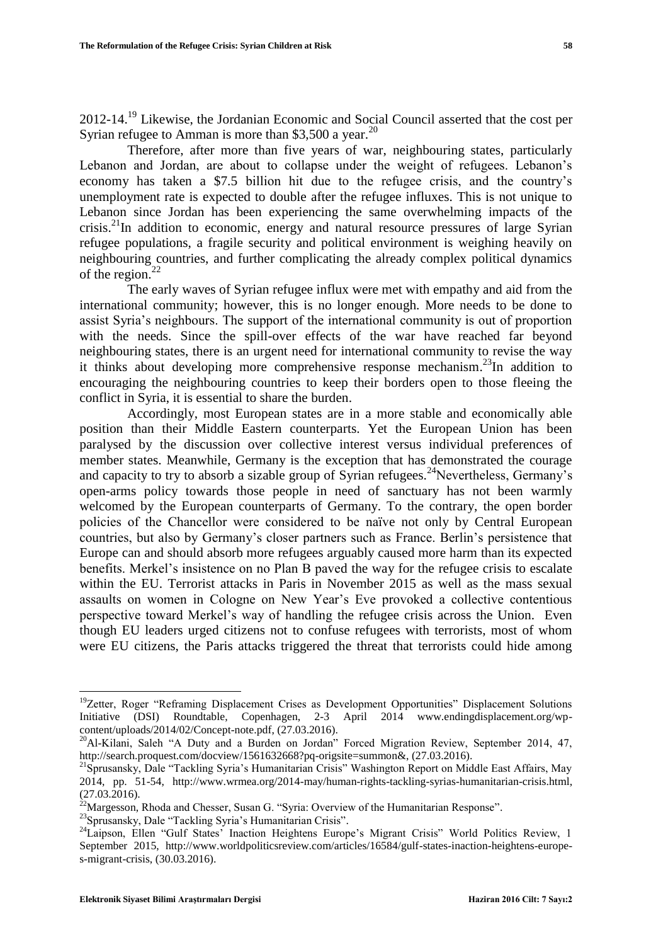2012-14.<sup>19</sup> Likewise, the Jordanian Economic and Social Council asserted that the cost per Syrian refugee to Amman is more than \$3,500 a year.<sup>20</sup>

Therefore, after more than five years of war, neighbouring states, particularly Lebanon and Jordan, are about to collapse under the weight of refugees. Lebanon"s economy has taken a \$7.5 billion hit due to the refugee crisis, and the country"s unemployment rate is expected to double after the refugee influxes. This is not unique to Lebanon since Jordan has been experiencing the same overwhelming impacts of the crisis.<sup>21</sup>In addition to economic, energy and natural resource pressures of large Syrian refugee populations, a fragile security and political environment is weighing heavily on neighbouring countries, and further complicating the already complex political dynamics of the region. $22$ 

The early waves of Syrian refugee influx were met with empathy and aid from the international community; however, this is no longer enough. More needs to be done to assist Syria"s neighbours. The support of the international community is out of proportion with the needs. Since the spill-over effects of the war have reached far beyond neighbouring states, there is an urgent need for international community to revise the way it thinks about developing more comprehensive response mechanism.<sup>23</sup>In addition to encouraging the neighbouring countries to keep their borders open to those fleeing the conflict in Syria, it is essential to share the burden.

Accordingly, most European states are in a more stable and economically able position than their Middle Eastern counterparts. Yet the European Union has been paralysed by the discussion over collective interest versus individual preferences of member states. Meanwhile, Germany is the exception that has demonstrated the courage and capacity to try to absorb a sizable group of Syrian refugees.<sup>24</sup>Nevertheless, Germany's open-arms policy towards those people in need of sanctuary has not been warmly welcomed by the European counterparts of Germany. To the contrary, the open border policies of the Chancellor were considered to be naïve not only by Central European countries, but also by Germany"s closer partners such as France. Berlin"s persistence that Europe can and should absorb more refugees arguably caused more harm than its expected benefits. Merkel"s insistence on no Plan B paved the way for the refugee crisis to escalate within the EU. Terrorist attacks in Paris in November 2015 as well as the mass sexual assaults on women in Cologne on New Year"s Eve provoked a collective contentious perspective toward Merkel"s way of handling the refugee crisis across the Union. Even though EU leaders urged citizens not to confuse refugees with terrorists, most of whom were EU citizens, the Paris attacks triggered the threat that terrorists could hide among

 $\overline{a}$ 

<sup>&</sup>lt;sup>19</sup>Zetter, Roger "Reframing Displacement Crises as Development Opportunities" Displacement Solutions Initiative (DSI) Roundtable, Copenhagen, 2-3 April 2014 www.endingdisplacement.org/wpcontent/uploads/2014/02/Concept-note.pdf, (27.03.2016).

<sup>&</sup>lt;sup>20</sup>Al-Kilani, Saleh "A Duty and a Burden on Jordan" Forced Migration Review, September 2014, 47, http://search.proquest.com/docview/1561632668?pq-origsite=summon&, (27.03.2016).

<sup>&</sup>lt;sup>21</sup>Sprusansky, Dale "Tackling Syria's Humanitarian Crisis" Washington Report on Middle East Affairs, May 2014, pp. 51-54, http://www.wrmea.org/2014-may/human-rights-tackling-syrias-humanitarian-crisis.html,  $(27.03.2016).$ 

<sup>&</sup>lt;sup>2</sup>Margesson, Rhoda and Chesser, Susan G. "Syria: Overview of the Humanitarian Response".

<sup>&</sup>lt;sup>23</sup>Sprusansky, Dale "Tackling Syria's Humanitarian Crisis".

<sup>&</sup>lt;sup>24</sup>Laipson, Ellen "Gulf States' Inaction Heightens Europe's Migrant Crisis" World Politics Review, 1 September 2015, http://www.worldpoliticsreview.com/articles/16584/gulf-states-inaction-heightens-europes-migrant-crisis, (30.03.2016).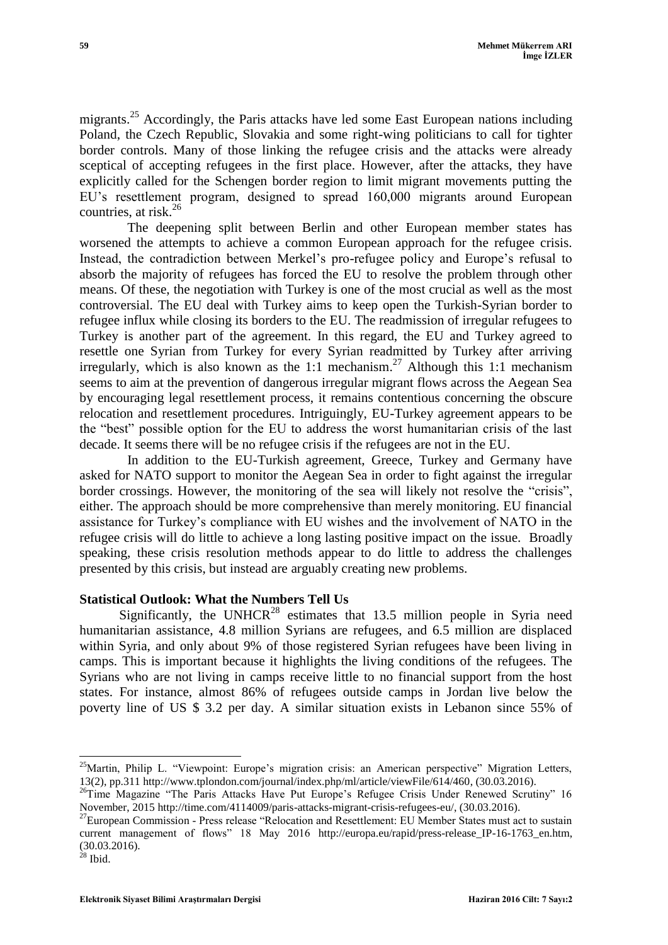migrants.<sup>25</sup> Accordingly, the Paris attacks have led some East European nations including Poland, the Czech Republic, Slovakia and some right-wing politicians to call for tighter border controls. Many of those linking the refugee crisis and the attacks were already sceptical of accepting refugees in the first place. However, after the attacks, they have explicitly called for the Schengen border region to limit migrant movements putting the EU"s resettlement program, designed to spread 160,000 migrants around European countries, at risk. 26

The deepening split between Berlin and other European member states has worsened the attempts to achieve a common European approach for the refugee crisis. Instead, the contradiction between Merkel"s pro-refugee policy and Europe"s refusal to absorb the majority of refugees has forced the EU to resolve the problem through other means. Of these, the negotiation with Turkey is one of the most crucial as well as the most controversial. The EU deal with Turkey aims to keep open the Turkish-Syrian border to refugee influx while closing its borders to the EU. The readmission of irregular refugees to Turkey is another part of the agreement. In this regard, the EU and Turkey agreed to resettle one Syrian from Turkey for every Syrian readmitted by Turkey after arriving irregularly, which is also known as the 1:1 mechanism. <sup>27</sup> Although this 1:1 mechanism seems to aim at the prevention of dangerous irregular migrant flows across the Aegean Sea by encouraging legal resettlement process, it remains contentious concerning the obscure relocation and resettlement procedures. Intriguingly, EU-Turkey agreement appears to be the "best" possible option for the EU to address the worst humanitarian crisis of the last decade. It seems there will be no refugee crisis if the refugees are not in the EU.

In addition to the EU-Turkish agreement, Greece, Turkey and Germany have asked for NATO support to monitor the Aegean Sea in order to fight against the irregular border crossings. However, the monitoring of the sea will likely not resolve the "crisis", either. The approach should be more comprehensive than merely monitoring. EU financial assistance for Turkey"s compliance with EU wishes and the involvement of NATO in the refugee crisis will do little to achieve a long lasting positive impact on the issue. Broadly speaking, these crisis resolution methods appear to do little to address the challenges presented by this crisis, but instead are arguably creating new problems.

## **Statistical Outlook: What the Numbers Tell Us**

Significantly, the UNHCR<sup>28</sup> estimates that 13.5 million people in Syria need humanitarian assistance, 4.8 million Syrians are refugees, and 6.5 million are displaced within Syria, and only about 9% of those registered Syrian refugees have been living in camps. This is important because it highlights the living conditions of the refugees. The Syrians who are not living in camps receive little to no financial support from the host states. For instance, almost 86% of refugees outside camps in Jordan live below the poverty line of US \$ 3.2 per day. A similar situation exists in Lebanon since 55% of

<sup>&</sup>lt;sup>25</sup>Martin, Philip L. "Viewpoint: Europe's migration crisis: an American perspective" Migration Letters, 13(2), pp.311 http://www.tplondon.com/journal/index.php/ml/article/viewFile/614/460, (30.03.2016).

<sup>&</sup>lt;sup>26</sup>Time Magazine "The Paris Attacks Have Put Europe's Refugee Crisis Under Renewed Scrutiny" 16 November, 2015 http://time.com/4114009/paris-attacks-migrant-crisis-refugees-eu/, (30.03.2016).

<sup>&</sup>lt;sup>27</sup>European Commission - Press release "Relocation and Resettlement: EU Member States must act to sustain current management of flows" 18 May 2016 http://europa.eu/rapid/press-release\_IP-16-1763\_en.htm, (30.03.2016).

 $^{28}$  Ibid.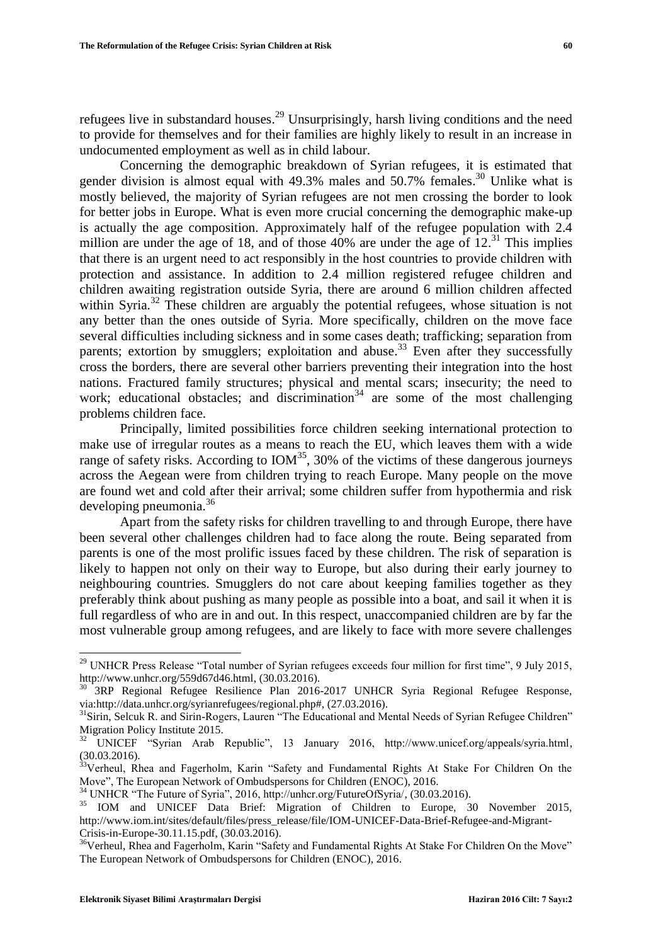refugees live in substandard houses.<sup>29</sup> Unsurprisingly, harsh living conditions and the need to provide for themselves and for their families are highly likely to result in an increase in undocumented employment as well as in child labour.

Concerning the demographic breakdown of Syrian refugees, it is estimated that gender division is almost equal with 49.3% males and 50.7% females.<sup>30</sup> Unlike what is mostly believed, the majority of Syrian refugees are not men crossing the border to look for better jobs in Europe. What is even more crucial concerning the demographic make-up is actually the age composition. Approximately half of the refugee population with 2.4 million are under the age of 18, and of those  $40\%$  are under the age of  $12.<sup>31</sup>$  This implies that there is an urgent need to act responsibly in the host countries to provide children with protection and assistance. In addition to 2.4 million registered refugee children and children awaiting registration outside Syria, there are around 6 million children affected within Syria.<sup>32</sup> These children are arguably the potential refugees, whose situation is not any better than the ones outside of Syria. More specifically, children on the move face several difficulties including sickness and in some cases death; trafficking; separation from parents; extortion by smugglers; exploitation and abuse.<sup>33</sup> Even after they successfully cross the borders, there are several other barriers preventing their integration into the host nations. Fractured family structures; physical and mental scars; insecurity; the need to work; educational obstacles; and discrimination<sup>34</sup> are some of the most challenging problems children face.

Principally, limited possibilities force children seeking international protection to make use of irregular routes as a means to reach the EU, which leaves them with a wide range of safety risks. According to  $IOM<sup>35</sup>$ , 30% of the victims of these dangerous journeys across the Aegean were from children trying to reach Europe. Many people on the move are found wet and cold after their arrival; some children suffer from hypothermia and risk developing pneumonia. 36

Apart from the safety risks for children travelling to and through Europe, there have been several other challenges children had to face along the route. Being separated from parents is one of the most prolific issues faced by these children. The risk of separation is likely to happen not only on their way to Europe, but also during their early journey to neighbouring countries. Smugglers do not care about keeping families together as they preferably think about pushing as many people as possible into a boat, and sail it when it is full regardless of who are in and out. In this respect, unaccompanied children are by far the most vulnerable group among refugees, and are likely to face with more severe challenges

l

 $29$  UNHCR Press Release "Total number of Syrian refugees exceeds four million for first time", 9 July 2015, http://www.unhcr.org/559d67d46.html, (30.03.2016).

<sup>3</sup>RP Regional Refugee Resilience Plan 2016-2017 UNHCR Syria Regional Refugee Response, via:http://data.unhcr.org/syrianrefugees/regional.php#, (27.03.2016).

 $31$ Sirin, Selcuk R. and Sirin-Rogers, Lauren "The Educational and Mental Needs of Syrian Refugee Children" Migration Policy Institute 2015.

<sup>&</sup>lt;sup>32</sup> UNICEF "Syrian Arab Republic", 13 January 2016, http://www.unicef.org/appeals/syria.html, (30.03.2016).

<sup>33</sup>Verheul, Rhea and Fagerholm, Karin "Safety and Fundamental Rights At Stake For Children On the Move", The European Network of Ombudspersons for Children (ENOC), 2016.

<sup>34</sup> UNHCR "The Future of Syria", 2016, http://unhcr.org/FutureOfSyria/, (30.03.2016).

<sup>&</sup>lt;sup>35</sup> IOM and UNICEF Data Brief: Migration of Children to Europe, 30 November 2015, http://www.iom.int/sites/default/files/press\_release/file/IOM-UNICEF-Data-Brief-Refugee-and-Migrant-Crisis-in-Europe-30.11.15.pdf, (30.03.2016).

<sup>&</sup>lt;sup>36</sup>Verheul, Rhea and Fagerholm, Karin "Safety and Fundamental Rights At Stake For Children On the Move" The European Network of Ombudspersons for Children (ENOC), 2016.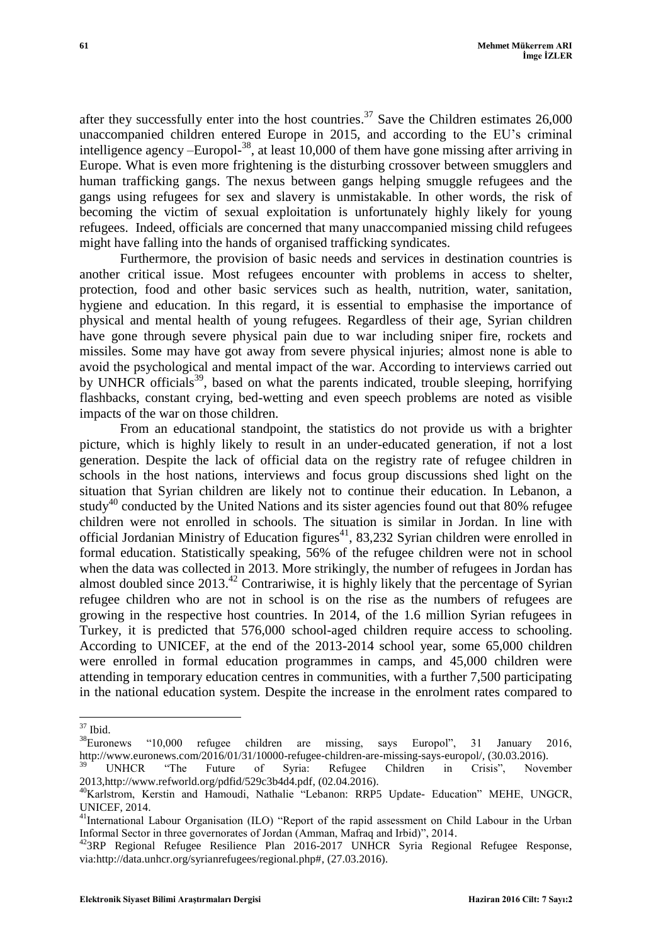after they successfully enter into the host countries.<sup>37</sup> Save the Children estimates  $26,000$ unaccompanied children entered Europe in 2015, and according to the EU"s criminal intelligence agency –Europol-<sup>38</sup>, at least 10,000 of them have gone missing after arriving in Europe. What is even more frightening is the disturbing crossover between smugglers and human trafficking gangs. The nexus between gangs helping smuggle refugees and the gangs using refugees for sex and slavery is unmistakable. In other words, the risk of becoming the victim of sexual exploitation is unfortunately highly likely for young refugees. Indeed, officials are concerned that many unaccompanied missing child refugees might have falling into the hands of organised trafficking syndicates.

Furthermore, the provision of basic needs and services in destination countries is another critical issue. Most refugees encounter with problems in access to shelter, protection, food and other basic services such as health, nutrition, water, sanitation, hygiene and education. In this regard, it is essential to emphasise the importance of physical and mental health of young refugees. Regardless of their age, Syrian children have gone through severe physical pain due to war including sniper fire, rockets and missiles. Some may have got away from severe physical injuries; almost none is able to avoid the psychological and mental impact of the war. According to interviews carried out by UNHCR officials<sup>39</sup>, based on what the parents indicated, trouble sleeping, horrifying flashbacks, constant crying, bed-wetting and even speech problems are noted as visible impacts of the war on those children.

From an educational standpoint, the statistics do not provide us with a brighter picture, which is highly likely to result in an under-educated generation, if not a lost generation. Despite the lack of official data on the registry rate of refugee children in schools in the host nations, interviews and focus group discussions shed light on the situation that Syrian children are likely not to continue their education. In Lebanon, a study<sup>40</sup> conducted by the United Nations and its sister agencies found out that 80% refugee children were not enrolled in schools. The situation is similar in Jordan. In line with official Jordanian Ministry of Education figures<sup>41</sup>, 83,232 Syrian children were enrolled in formal education. Statistically speaking, 56% of the refugee children were not in school when the data was collected in 2013. More strikingly, the number of refugees in Jordan has almost doubled since 2013.<sup>42</sup> Contrariwise, it is highly likely that the percentage of Syrian refugee children who are not in school is on the rise as the numbers of refugees are growing in the respective host countries. In 2014, of the 1.6 million Syrian refugees in Turkey, it is predicted that 576,000 school-aged children require access to schooling. According to UNICEF, at the end of the 2013-2014 school year, some 65,000 children were enrolled in formal education programmes in camps, and 45,000 children were attending in temporary education centres in communities, with a further 7,500 participating in the national education system. Despite the increase in the enrolment rates compared to

 $\overline{\phantom{a}}$  $37$  Ibid.

<sup>38</sup>Euronews "10,000 refugee children are missing, says Europol", 31 January 2016, http://www.euronews.com/2016/01/31/10000-refugee-children-are-missing-says-europol/, (30.03.2016).

<sup>&</sup>lt;sup>39</sup> UNHCR "The Future of Syria: Refugee Children in Crisis", November 2013,http://www.refworld.org/pdfid/529c3b4d4.pdf, (02.04.2016).

<sup>&</sup>lt;sup>40</sup>Karlstrom, Kerstin and Hamoudi, Nathalie "Lebanon: RRP5 Update- Education" MEHE, UNGCR, UNICEF, 2014.

<sup>&</sup>lt;sup>41</sup>International Labour Organisation (ILO) "Report of the rapid assessment on Child Labour in the Urban Informal Sector in three governorates of Jordan (Amman, Mafraq and Irbid)", 2014.

<sup>&</sup>lt;sup>42</sup>3RP Regional Refugee Resilience Plan 2016-2017 UNHCR Syria Regional Refugee Response, via:http://data.unhcr.org/syrianrefugees/regional.php#, (27.03.2016).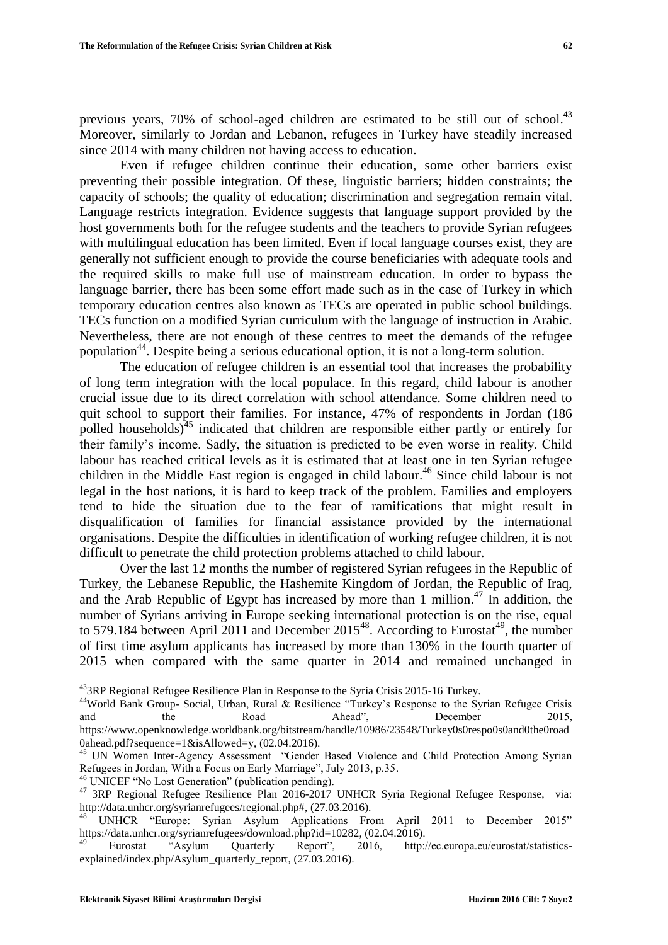previous years, 70% of school-aged children are estimated to be still out of school.<sup>43</sup> Moreover, similarly to Jordan and Lebanon, refugees in Turkey have steadily increased since 2014 with many children not having access to education.

Even if refugee children continue their education, some other barriers exist preventing their possible integration. Of these, linguistic barriers; hidden constraints; the capacity of schools; the quality of education; discrimination and segregation remain vital. Language restricts integration. Evidence suggests that language support provided by the host governments both for the refugee students and the teachers to provide Syrian refugees with multilingual education has been limited. Even if local language courses exist, they are generally not sufficient enough to provide the course beneficiaries with adequate tools and the required skills to make full use of mainstream education. In order to bypass the language barrier, there has been some effort made such as in the case of Turkey in which temporary education centres also known as TECs are operated in public school buildings. TECs function on a modified Syrian curriculum with the language of instruction in Arabic. Nevertheless, there are not enough of these centres to meet the demands of the refugee population<sup>44</sup>. Despite being a serious educational option, it is not a long-term solution.

The education of refugee children is an essential tool that increases the probability of long term integration with the local populace. In this regard, child labour is another crucial issue due to its direct correlation with school attendance. Some children need to quit school to support their families. For instance, 47% of respondents in Jordan (186 polled households)<sup>45</sup> indicated that children are responsible either partly or entirely for their family"s income. Sadly, the situation is predicted to be even worse in reality. Child labour has reached critical levels as it is estimated that at least one in ten Syrian refugee children in the Middle East region is engaged in child labour. <sup>46</sup> Since child labour is not legal in the host nations, it is hard to keep track of the problem. Families and employers tend to hide the situation due to the fear of ramifications that might result in disqualification of families for financial assistance provided by the international organisations. Despite the difficulties in identification of working refugee children, it is not difficult to penetrate the child protection problems attached to child labour.

Over the last 12 months the number of registered Syrian refugees in the Republic of Turkey, the Lebanese Republic, the Hashemite Kingdom of Jordan, the Republic of Iraq, and the Arab Republic of Egypt has increased by more than 1 million.<sup>47</sup> In addition, the number of Syrians arriving in Europe seeking international protection is on the rise, equal to 579.184 between April 2011 and December  $2015^{48}$ . According to Eurostat<sup>49</sup>, the number of first time asylum applicants has increased by more than 130% in the fourth quarter of 2015 when compared with the same quarter in 2014 and remained unchanged in

<sup>&</sup>lt;sup>43</sup>3RP Regional Refugee Resilience Plan in Response to the Syria Crisis 2015-16 Turkey.

<sup>&</sup>lt;sup>44</sup>World Bank Group- Social, Urban, Rural & Resilience "Turkey's Response to the Syrian Refugee Crisis and the Road Ahead", December 2015, https://www.openknowledge.worldbank.org/bitstream/handle/10986/23548/Turkey0s0respo0s0and0the0road 0ahead.pdf?sequence=1&isAllowed=y, (02.04.2016).

<sup>&</sup>lt;sup>45</sup> UN Women Inter-Agency Assessment "Gender Based Violence and Child Protection Among Syrian Refugees in Jordan, With a Focus on Early Marriage", July 2013, p.35.

<sup>46</sup> UNICEF "No Lost Generation" (publication pending).

<sup>&</sup>lt;sup>47</sup> 3RP Regional Refugee Resilience Plan 2016-2017 UNHCR Syria Regional Refugee Response, via: http://data.unhcr.org/syrianrefugees/regional.php#, (27.03.2016).

UNHCR "Europe: Syrian Asylum Applications From April 2011 to December 2015" https://data.unhcr.org/syrianrefugees/download.php?id=10282, (02.04.2016).

<sup>49</sup> Eurostat "Asylum Quarterly Report", 2016, http://ec.europa.eu/eurostat/statisticsexplained/index.php/Asylum\_quarterly\_report, (27.03.2016).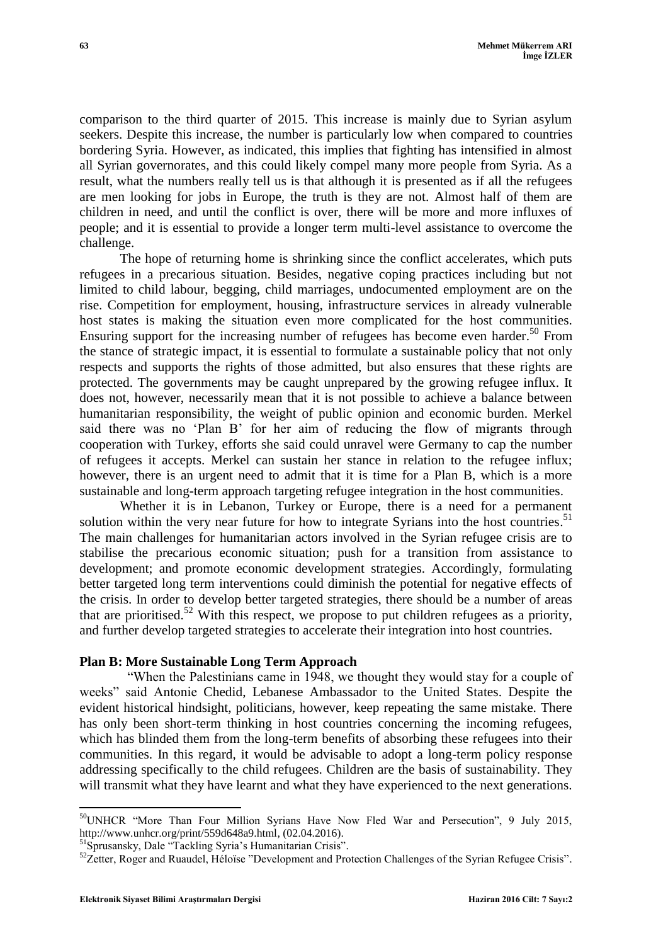comparison to the third quarter of 2015. This increase is mainly due to Syrian asylum seekers. Despite this increase, the number is particularly low when compared to countries bordering Syria. However, as indicated, this implies that fighting has intensified in almost all Syrian governorates, and this could likely compel many more people from Syria. As a result, what the numbers really tell us is that although it is presented as if all the refugees are men looking for jobs in Europe, the truth is they are not. Almost half of them are children in need, and until the conflict is over, there will be more and more influxes of people; and it is essential to provide a longer term multi-level assistance to overcome the challenge.

The hope of returning home is shrinking since the conflict accelerates, which puts refugees in a precarious situation. Besides, negative coping practices including but not limited to child labour, begging, child marriages, undocumented employment are on the rise. Competition for employment, housing, infrastructure services in already vulnerable host states is making the situation even more complicated for the host communities. Ensuring support for the increasing number of refugees has become even harder.<sup>50</sup> From the stance of strategic impact, it is essential to formulate a sustainable policy that not only respects and supports the rights of those admitted, but also ensures that these rights are protected. The governments may be caught unprepared by the growing refugee influx. It does not, however, necessarily mean that it is not possible to achieve a balance between humanitarian responsibility, the weight of public opinion and economic burden. Merkel said there was no 'Plan B' for her aim of reducing the flow of migrants through cooperation with Turkey, efforts she said could unravel were Germany to cap the number of refugees it accepts. Merkel can sustain her stance in relation to the refugee influx; however, there is an urgent need to admit that it is time for a Plan B, which is a more sustainable and long-term approach targeting refugee integration in the host communities.

Whether it is in Lebanon, Turkey or Europe, there is a need for a permanent solution within the very near future for how to integrate Syrians into the host countries.<sup>51</sup> The main challenges for humanitarian actors involved in the Syrian refugee crisis are to stabilise the precarious economic situation; push for a transition from assistance to development; and promote economic development strategies. Accordingly, formulating better targeted long term interventions could diminish the potential for negative effects of the crisis. In order to develop better targeted strategies, there should be a number of areas that are prioritised.<sup>52</sup> With this respect, we propose to put children refugees as a priority, and further develop targeted strategies to accelerate their integration into host countries.

### **Plan B: More Sustainable Long Term Approach**

"When the Palestinians came in 1948, we thought they would stay for a couple of weeks" said Antonie Chedid, Lebanese Ambassador to the United States. Despite the evident historical hindsight, politicians, however, keep repeating the same mistake. There has only been short-term thinking in host countries concerning the incoming refugees, which has blinded them from the long-term benefits of absorbing these refugees into their communities. In this regard, it would be advisable to adopt a long-term policy response addressing specifically to the child refugees. Children are the basis of sustainability. They will transmit what they have learnt and what they have experienced to the next generations.

 $\overline{\phantom{a}}$  $50$ UNHCR "More Than Four Million Syrians Have Now Fled War and Persecution", 9 July 2015, http://www.unhcr.org/print/559d648a9.html, (02.04.2016).

<sup>&</sup>lt;sup>51</sup>Sprusansky, Dale "Tackling Syria's Humanitarian Crisis".

<sup>&</sup>lt;sup>52</sup>Zetter, Roger and Ruaudel, Héloïse "Development and Protection Challenges of the Syrian Refugee Crisis".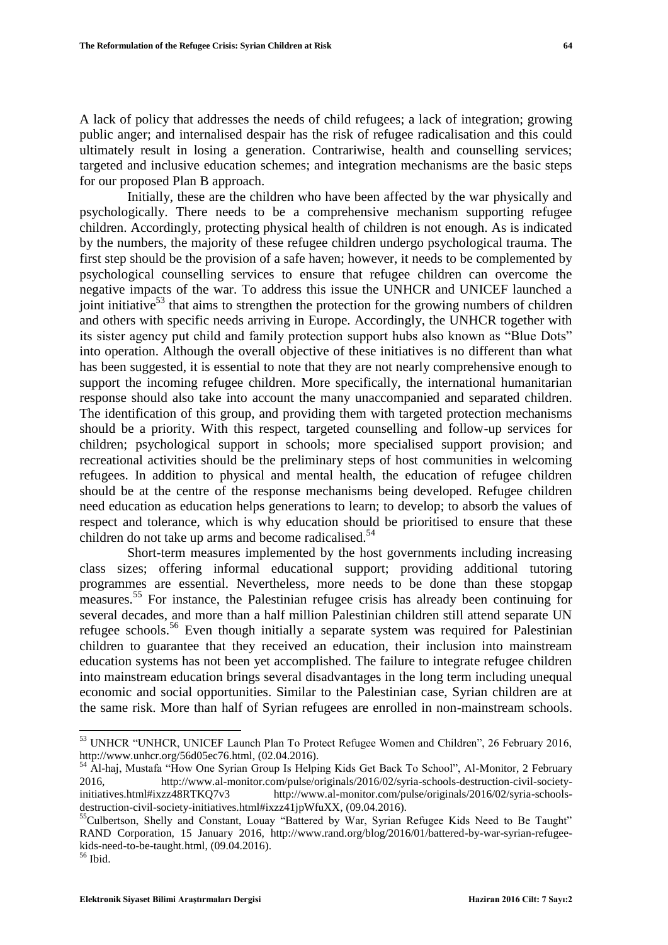A lack of policy that addresses the needs of child refugees; a lack of integration; growing public anger; and internalised despair has the risk of refugee radicalisation and this could ultimately result in losing a generation. Contrariwise, health and counselling services; targeted and inclusive education schemes; and integration mechanisms are the basic steps for our proposed Plan B approach.

Initially, these are the children who have been affected by the war physically and psychologically. There needs to be a comprehensive mechanism supporting refugee children. Accordingly, protecting physical health of children is not enough. As is indicated by the numbers, the majority of these refugee children undergo psychological trauma. The first step should be the provision of a safe haven; however, it needs to be complemented by psychological counselling services to ensure that refugee children can overcome the negative impacts of the war. To address this issue the UNHCR and UNICEF launched a joint initiative<sup>53</sup> that aims to strengthen the protection for the growing numbers of children and others with specific needs arriving in Europe. Accordingly, the UNHCR together with its sister agency put child and family protection support hubs also known as "Blue Dots" into operation. Although the overall objective of these initiatives is no different than what has been suggested, it is essential to note that they are not nearly comprehensive enough to support the incoming refugee children. More specifically, the international humanitarian response should also take into account the many unaccompanied and separated children. The identification of this group, and providing them with targeted protection mechanisms should be a priority. With this respect, targeted counselling and follow-up services for children; psychological support in schools; more specialised support provision; and recreational activities should be the preliminary steps of host communities in welcoming refugees. In addition to physical and mental health, the education of refugee children should be at the centre of the response mechanisms being developed. Refugee children need education as education helps generations to learn; to develop; to absorb the values of respect and tolerance, which is why education should be prioritised to ensure that these children do not take up arms and become radicalised.<sup>54</sup>

Short-term measures implemented by the host governments including increasing class sizes; offering informal educational support; providing additional tutoring programmes are essential. Nevertheless, more needs to be done than these stopgap measures.<sup>55</sup> For instance, the Palestinian refugee crisis has already been continuing for several decades, and more than a half million Palestinian children still attend separate UN refugee schools.<sup>56</sup> Even though initially a separate system was required for Palestinian children to guarantee that they received an education, their inclusion into mainstream education systems has not been yet accomplished. The failure to integrate refugee children into mainstream education brings several disadvantages in the long term including unequal economic and social opportunities. Similar to the Palestinian case, Syrian children are at the same risk. More than half of Syrian refugees are enrolled in non-mainstream schools.

<sup>&</sup>lt;sup>53</sup> UNHCR "UNHCR, UNICEF Launch Plan To Protect Refugee Women and Children", 26 February 2016, http://www.unhcr.org/56d05ec76.html, (02.04.2016).

<sup>54</sup> Al-haj, Mustafa "How One Syrian Group Is Helping Kids Get Back To School", Al-Monitor, 2 February 2016, http://www.al-monitor.com/pulse/originals/2016/02/syria-schools-destruction-civil-societyinitiatives.html#ixzz48RTKQ7v3 http://www.al-monitor.com/pulse/originals/2016/02/syria-schoolsdestruction-civil-society-initiatives.html#ixzz41jpWfuXX, (09.04.2016).

<sup>&</sup>lt;sup>55</sup>Culbertson, Shelly and Constant, Louay "Battered by War, Syrian Refugee Kids Need to Be Taught" RAND Corporation, 15 January 2016, http://www.rand.org/blog/2016/01/battered-by-war-syrian-refugeekids-need-to-be-taught.html, (09.04.2016).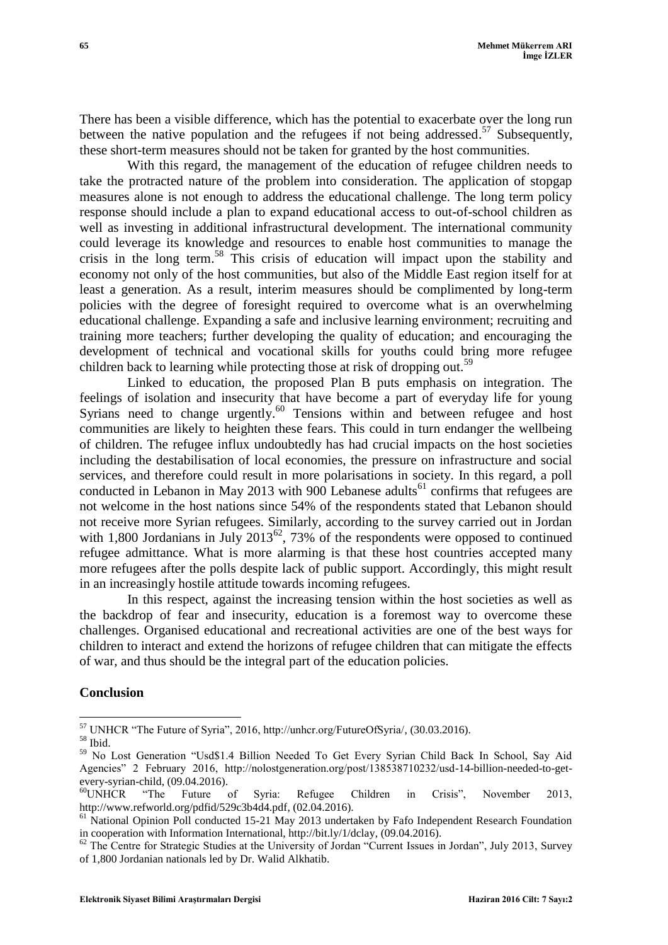There has been a visible difference, which has the potential to exacerbate over the long run between the native population and the refugees if not being addressed.<sup>57</sup> Subsequently, these short-term measures should not be taken for granted by the host communities.

With this regard, the management of the education of refugee children needs to take the protracted nature of the problem into consideration. The application of stopgap measures alone is not enough to address the educational challenge. The long term policy response should include a plan to expand educational access to out-of-school children as well as investing in additional infrastructural development. The international community could leverage its knowledge and resources to enable host communities to manage the crisis in the long term. <sup>58</sup> This crisis of education will impact upon the stability and economy not only of the host communities, but also of the Middle East region itself for at least a generation. As a result, interim measures should be complimented by long-term policies with the degree of foresight required to overcome what is an overwhelming educational challenge. Expanding a safe and inclusive learning environment; recruiting and training more teachers; further developing the quality of education; and encouraging the development of technical and vocational skills for youths could bring more refugee children back to learning while protecting those at risk of dropping out.<sup>59</sup>

Linked to education, the proposed Plan B puts emphasis on integration. The feelings of isolation and insecurity that have become a part of everyday life for young Syrians need to change urgently.<sup>60</sup> Tensions within and between refugee and host communities are likely to heighten these fears. This could in turn endanger the wellbeing of children. The refugee influx undoubtedly has had crucial impacts on the host societies including the destabilisation of local economies, the pressure on infrastructure and social services, and therefore could result in more polarisations in society. In this regard, a poll conducted in Lebanon in May 2013 with 900 Lebanese adults<sup>61</sup> confirms that refugees are not welcome in the host nations since 54% of the respondents stated that Lebanon should not receive more Syrian refugees. Similarly, according to the survey carried out in Jordan with 1,800 Jordanians in July 2013<sup>62</sup>, 73% of the respondents were opposed to continued refugee admittance. What is more alarming is that these host countries accepted many more refugees after the polls despite lack of public support. Accordingly, this might result in an increasingly hostile attitude towards incoming refugees.

In this respect, against the increasing tension within the host societies as well as the backdrop of fear and insecurity, education is a foremost way to overcome these challenges. Organised educational and recreational activities are one of the best ways for children to interact and extend the horizons of refugee children that can mitigate the effects of war, and thus should be the integral part of the education policies.

## **Conclusion**

 $\overline{\phantom{a}}$ <sup>57</sup> UNHCR "The Future of Syria", 2016, http://unhcr.org/FutureOfSyria/, (30.03.2016).

<sup>58</sup> Ibid.

<sup>59</sup> No Lost Generation "Usd\$1.4 Billion Needed To Get Every Syrian Child Back In School, Say Aid Agencies" 2 February 2016, http://nolostgeneration.org/post/138538710232/usd-14-billion-needed-to-getevery-syrian-child, (09.04.2016).

<sup>&</sup>lt;sup>60</sup>UNHCR "The Future of Syria: Refugee Children in Crisis", November 2013, http://www.refworld.org/pdfid/529c3b4d4.pdf, (02.04.2016).

<sup>&</sup>lt;sup>61</sup> National Opinion Poll conducted 15-21 May 2013 undertaken by Fafo Independent Research Foundation in cooperation with Information International, http://bit.ly/1/dclay, (09.04.2016).

<sup>&</sup>lt;sup>62</sup> The Centre for Strategic Studies at the University of Jordan "Current Issues in Jordan", July 2013, Survey of 1,800 Jordanian nationals led by Dr. Walid Alkhatib.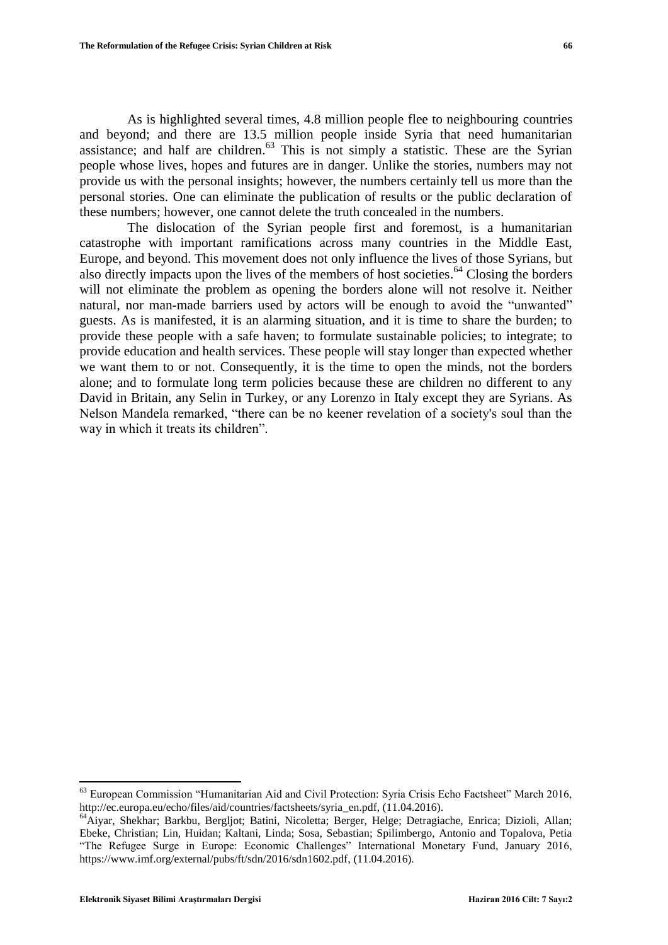As is highlighted several times, 4.8 million people flee to neighbouring countries and beyond; and there are 13.5 million people inside Syria that need humanitarian assistance; and half are children.<sup>63</sup> This is not simply a statistic. These are the Syrian people whose lives, hopes and futures are in danger. Unlike the stories, numbers may not provide us with the personal insights; however, the numbers certainly tell us more than the personal stories. One can eliminate the publication of results or the public declaration of these numbers; however, one cannot delete the truth concealed in the numbers.

The dislocation of the Syrian people first and foremost, is a humanitarian catastrophe with important ramifications across many countries in the Middle East, Europe, and beyond. This movement does not only influence the lives of those Syrians, but also directly impacts upon the lives of the members of host societies. <sup>64</sup> Closing the borders will not eliminate the problem as opening the borders alone will not resolve it. Neither natural, nor man-made barriers used by actors will be enough to avoid the "unwanted" guests. As is manifested, it is an alarming situation, and it is time to share the burden; to provide these people with a safe haven; to formulate sustainable policies; to integrate; to provide education and health services. These people will stay longer than expected whether we want them to or not. Consequently, it is the time to open the minds, not the borders alone; and to formulate long term policies because these are children no different to any David in Britain, any Selin in Turkey, or any Lorenzo in Italy except they are Syrians. As Nelson Mandela remarked, "there can be no keener revelation of a society's soul than the way in which it treats its children".

 $\overline{a}$ 

<sup>&</sup>lt;sup>63</sup> European Commission "Humanitarian Aid and Civil Protection: Syria Crisis Echo Factsheet" March 2016, http://ec.europa.eu/echo/files/aid/countries/factsheets/syria\_en.pdf, (11.04.2016).

<sup>64</sup>Aiyar, Shekhar; Barkbu, Bergljot; Batini, Nicoletta; Berger, Helge; Detragiache, Enrica; Dizioli, Allan; Ebeke, Christian; Lin, Huidan; Kaltani, Linda; Sosa, Sebastian; Spilimbergo, Antonio and Topalova, Petia "The Refugee Surge in Europe: Economic Challenges" International Monetary Fund, January 2016, https://www.imf.org/external/pubs/ft/sdn/2016/sdn1602.pdf, (11.04.2016).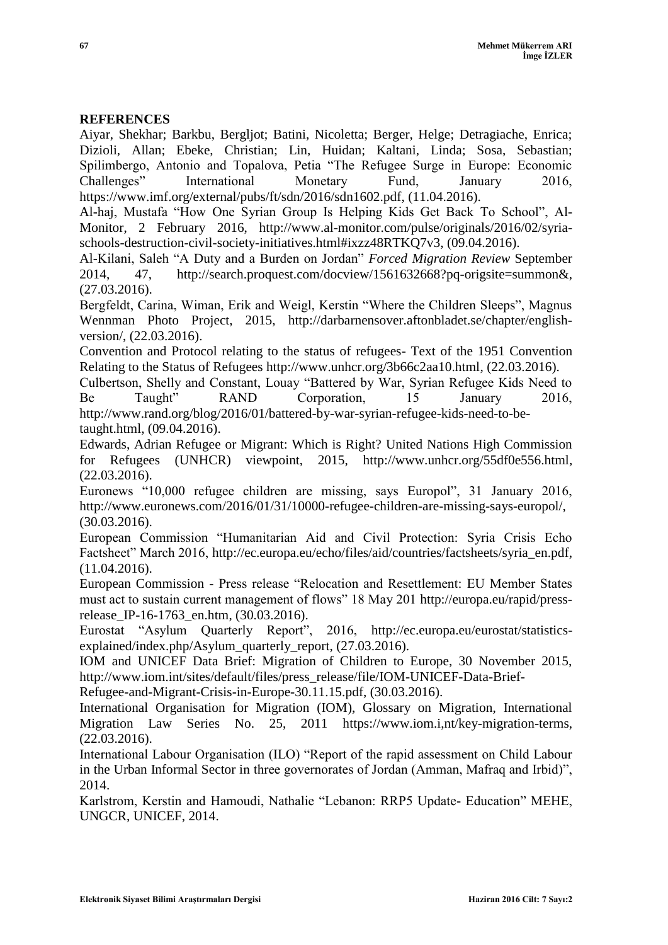## **REFERENCES**

Aiyar, Shekhar; Barkbu, Bergljot; Batini, Nicoletta; Berger, Helge; Detragiache, Enrica; Dizioli, Allan; Ebeke, Christian; Lin, Huidan; Kaltani, Linda; Sosa, Sebastian; Spilimbergo, Antonio and Topalova, Petia "The Refugee Surge in Europe: Economic Challenges" International Monetary Fund, January 2016, [https://www.imf.org/external/pubs/ft/sdn/2016/sdn1602.pdf,](https://www.imf.org/external/pubs/ft/sdn/2016/sdn1602.pdf) (11.04.2016).

Al-haj, Mustafa "How One Syrian Group Is Helping Kids Get Back To School", Al-Monitor, 2 February 2016, [http://www.al-monitor.com/pulse/originals/2016/02/syria](http://www.al-monitor.com/pulse/originals/2016/02/syria-schools-destruction-civil-society-initiatives.html#ixzz48RTKQ7v3)[schools-destruction-civil-society-initiatives.html#ixzz48RTKQ7v3,](http://www.al-monitor.com/pulse/originals/2016/02/syria-schools-destruction-civil-society-initiatives.html#ixzz48RTKQ7v3) (09.04.2016).

Al-Kilani, Saleh "A Duty and a Burden on Jordan" *Forced Migration Review* September 2014, 47, [http://search.proquest.com/docview/1561632668?pq-origsite=summon&,](http://search.proquest.com/docview/1561632668?pq-origsite=summon&) (27.03.2016).

Bergfeldt, Carina, Wiman, Erik and Weigl, Kerstin "Where the Children Sleeps", Magnus Wennman Photo Project, 2015, [http://darbarnensover.aftonbladet.se/chapter/english](http://darbarnensover.aftonbladet.se/chapter/english-version/)[version/,](http://darbarnensover.aftonbladet.se/chapter/english-version/) (22.03.2016).

Convention and Protocol relating to the status of refugees- Text of the 1951 Convention Relating to the Status of Refugees http://www.unhcr.org/3b66c2aa10.html, (22.03.2016).

Culbertson, Shelly and Constant, Louay "Battered by War, Syrian Refugee Kids Need to Be Taught" RAND Corporation, 15 January 2016, [http://www.rand.org/blog/2016/01/battered-by-war-syrian-refugee-kids-need-to-be](http://www.rand.org/blog/2016/01/battered-by-war-syrian-refugee-kids-need-to-be-taught.html)[taught.html,](http://www.rand.org/blog/2016/01/battered-by-war-syrian-refugee-kids-need-to-be-taught.html) (09.04.2016).

Edwards, Adrian Refugee or Migrant: Which is Right? United Nations High Commission for Refugees (UNHCR) viewpoint, 2015, [http://www.unhcr.org/55df0e556.html,](http://www.unhcr.org/55df0e556.html) (22.03.2016).

Euronews "10,000 refugee children are missing, says Europol", 31 January 2016, [http://www.euronews.com/2016/01/31/10000-refugee-children-are-missing-says-europol/,](http://www.euronews.com/2016/01/31/10000-refugee-children-are-missing-says-europol/) (30.03.2016).

European Commission "Humanitarian Aid and Civil Protection: Syria Crisis Echo Factsheet" March 2016, [http://ec.europa.eu/echo/files/aid/countries/factsheets/syria\\_en.pdf,](http://ec.europa.eu/echo/files/aid/countries/factsheets/syria_en.pdf) (11.04.2016).

European Commission - Press release "Relocation and Resettlement: EU Member States must act to sustain current management of flows" 18 May 201 http://europa.eu/rapid/pressrelease\_IP-16-1763\_en.htm, (30.03.2016).

Eurostat "Asylum Quarterly Report", 2016, [http://ec.europa.eu/eurostat/statistics](http://ec.europa.eu/eurostat/statistics-explained/index.php/Asylum_quarterly_report)[explained/index.php/Asylum\\_quarterly\\_report,](http://ec.europa.eu/eurostat/statistics-explained/index.php/Asylum_quarterly_report) (27.03.2016).

IOM and UNICEF Data Brief: Migration of Children to Europe, 30 November 2015, [http://www.iom.int/sites/default/files/press\\_release/file/IOM-UNICEF-Data-Brief-](http://www.iom.int/sites/default/files/press_release/file/IOM-UNICEF-Data-Brief-Refugee-and-Migrant-Crisis-in-Europe-30.11.15.pdf)

[Refugee-and-Migrant-Crisis-in-Europe-30.11.15.pdf,](http://www.iom.int/sites/default/files/press_release/file/IOM-UNICEF-Data-Brief-Refugee-and-Migrant-Crisis-in-Europe-30.11.15.pdf) (30.03.2016).

International Organisation for Migration (IOM), Glossary on Migration, International Migration Law Series No. 25, 2011 [https://www.iom.i,nt/key-migration-terms,](https://www.iom.i,nt/key-migration-terms) (22.03.2016).

International Labour Organisation (ILO) "Report of the rapid assessment on Child Labour in the Urban Informal Sector in three governorates of Jordan (Amman, Mafraq and Irbid)", 2014.

Karlstrom, Kerstin and Hamoudi, Nathalie "Lebanon: RRP5 Update- Education" MEHE, UNGCR, UNICEF, 2014.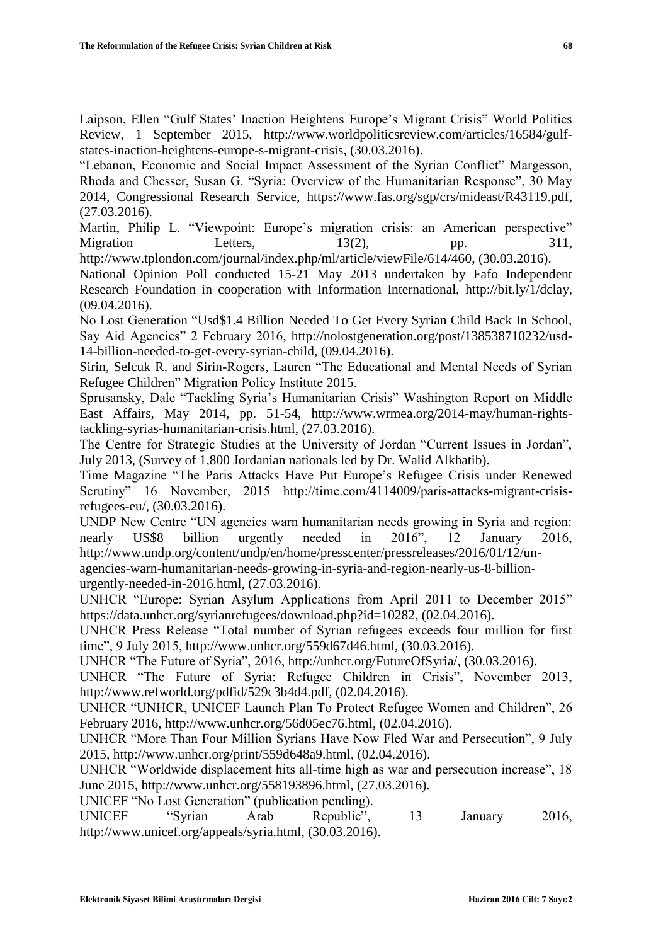Laipson, Ellen "Gulf States" Inaction Heightens Europe"s Migrant Crisis" World Politics Review, 1 September 2015, [http://www.worldpoliticsreview.com/articles/16584/gulf](http://www.worldpoliticsreview.com/articles/16584/gulf-states-inaction-heightens-europe-s-migrant-crisis)[states-inaction-heightens-europe-s-migrant-crisis,](http://www.worldpoliticsreview.com/articles/16584/gulf-states-inaction-heightens-europe-s-migrant-crisis) (30.03.2016).

"Lebanon, Economic and Social Impact Assessment of the Syrian Conflict" Margesson, Rhoda and Chesser, Susan G. "Syria: Overview of the Humanitarian Response", 30 May 2014, Congressional Research Service, [https://www.fas.org/sgp/crs/mideast/R43119.pdf,](https://www.fas.org/sgp/crs/mideast/R43119.pdf) (27.03.2016).

Martin, Philip L. "Viewpoint: Europe's migration crisis: an American perspective" Migration Letters, 13(2), pp. 311, http://www.tplondon.com/journal/index.php/ml/article/viewFile/614/460, (30.03.2016).

National Opinion Poll conducted 15-21 May 2013 undertaken by Fafo Independent Research Foundation in cooperation with Information International, [http://bit.ly/1/dclay,](http://bit.ly/1/dclay) (09.04.2016).

No Lost Generation "Usd\$1.4 Billion Needed To Get Every Syrian Child Back In School, Say Aid Agencies" 2 February 2016, [http://nolostgeneration.org/post/138538710232/usd-](http://nolostgeneration.org/post/138538710232/usd-14-billion-needed-to-get-every-syrian-child)[14-billion-needed-to-get-every-syrian-child,](http://nolostgeneration.org/post/138538710232/usd-14-billion-needed-to-get-every-syrian-child) (09.04.2016).

Sirin, Selcuk R. and Sirin-Rogers, Lauren "The Educational and Mental Needs of Syrian Refugee Children" Migration Policy Institute 2015.

Sprusansky, Dale "Tackling Syria"s Humanitarian Crisis" Washington Report on Middle East Affairs, May 2014, pp. 51-54, [http://www.wrmea.org/2014-may/human-rights](http://www.wrmea.org/2014-may/human-rights-tackling-syrias-humanitarian-crisis.html)[tackling-syrias-humanitarian-crisis.html,](http://www.wrmea.org/2014-may/human-rights-tackling-syrias-humanitarian-crisis.html) (27.03.2016).

The Centre for Strategic Studies at the University of Jordan "Current Issues in Jordan", July 2013, (Survey of 1,800 Jordanian nationals led by Dr. Walid Alkhatib).

Time Magazine "The Paris Attacks Have Put Europe"s Refugee Crisis under Renewed Scrutiny" 16 November, 2015 http://time.com/4114009/paris-attacks-migrant-crisisrefugees-eu/, (30.03.2016).

UNDP New Centre "UN agencies warn humanitarian needs growing in Syria and region: nearly US\$8 billion urgently needed in 2016", 12 January 2016, [http://www.undp.org/content/undp/en/home/presscenter/pressreleases/2016/01/12/un](http://www.undp.org/content/undp/en/home/presscenter/pressreleases/2016/01/12/un-agencies-warn-humanitarian-needs-growing-in-syria-and-region-nearly-us-8-billion-urgently-needed-in-2016.html)[agencies-warn-humanitarian-needs-growing-in-syria-and-region-nearly-us-8-billion-](http://www.undp.org/content/undp/en/home/presscenter/pressreleases/2016/01/12/un-agencies-warn-humanitarian-needs-growing-in-syria-and-region-nearly-us-8-billion-urgently-needed-in-2016.html)

[urgently-needed-in-2016.html,](http://www.undp.org/content/undp/en/home/presscenter/pressreleases/2016/01/12/un-agencies-warn-humanitarian-needs-growing-in-syria-and-region-nearly-us-8-billion-urgently-needed-in-2016.html) (27.03.2016).

UNHCR "Europe: Syrian Asylum Applications from April 2011 to December 2015" [https://data.unhcr.org/syrianrefugees/download.php?id=10282,](https://data.unhcr.org/syrianrefugees/download.php?id=10282) (02.04.2016).

UNHCR Press Release "Total number of Syrian refugees exceeds four million for first time", 9 July 2015, [http://www.unhcr.org/559d67d46.html,](http://www.unhcr.org/559d67d46.html) (30.03.2016).

UNHCR "The Future of Syria", 2016, [http://unhcr.org/FutureOfSyria/,](http://unhcr.org/FutureOfSyria/) (30.03.2016).

UNHCR "The Future of Syria: Refugee Children in Crisis", November 2013, [http://www.refworld.org/pdfid/529c3b4d4.pdf,](http://www.refworld.org/pdfid/529c3b4d4.pdf) (02.04.2016).

UNHCR "UNHCR, UNICEF Launch Plan To Protect Refugee Women and Children", 26 February 2016, [http://www.unhcr.org/56d05ec76.html,](http://www.unhcr.org/56d05ec76.html) (02.04.2016).

UNHCR "More Than Four Million Syrians Have Now Fled War and Persecution", 9 July 2015, [http://www.unhcr.org/print/559d648a9.html,](http://www.unhcr.org/print/559d648a9.html) (02.04.2016).

UNHCR "Worldwide displacement hits all-time high as war and persecution increase", 18 June 2015, [http://www.unhcr.org/558193896.html,](http://www.unhcr.org/558193896.html) (27.03.2016).

UNICEF "No Lost Generation" (publication pending).

UNICEF "Syrian Arab Republic", 13 January 2016, [http://www.unicef.org/appeals/syria.html,](http://www.unicef.org/appeals/syria.html) (30.03.2016).